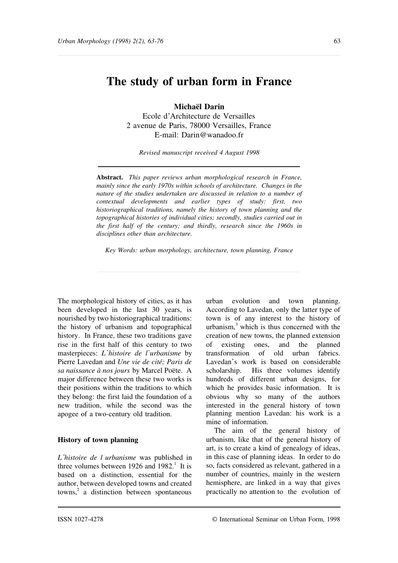# **The study of urban form in France**

**Michaël Darin** Ecole d'Architecture de Versailles 2 avenue de Paris, 78000 Versailles, France E-mail: Darin@wanadoo.fr

*Revised manuscript received 4 August 1998*

**Abstract.** *This paper reviews urban morphological research in France, mainly since the early 1970s within schools of architecture. Changes in the nature of the studies undertaken are discussed in relation to a number of contextual developments and earlier types of study: first, two historiographical traditions, namely the history of town planning and the topographical histories of individual cities; secondly, studies carried out in the first half of the century; and thirdly, research since the 1960s in disciplines other than architecture.*

*Key Words: urban morphology, architecture, town planning, France*

The morphological history of cities, as it has been developed in the last 30 years, is nourished by two historiographical traditions: the history of urbanism and topographical history. In France, these two traditions gave rise in the first half of this century to two masterpieces: *L histoire de l urbanisme* by Pierre Lavedan and *Une vie de cité; Paris de sa naissance à nos jours* by Marcel Poëte. A major difference between these two works is their positions within the traditions to which they belong: the first laid the foundation of a new tradition, while the second was the apogee of a two-century old tradition.

#### **History of town planning**

*L histoire de l urbanisme* was published in three volumes between  $1926$  and  $1982$ .<sup>1</sup> It is based on a distinction, essential for the author, between developed towns and created  $t_{\text{owns}}^2$  a distinction between spontaneous

urban evolution and town planning. According to Lavedan, only the latter type of town is of any interest to the history of urbanism, $3$  which is thus concerned with the creation of new towns, the planned extension of existing ones, and the planned transformation of old urban fabrics. Lavedan's work is based on considerable scholarship. His three volumes identify hundreds of different urban designs, for which he provides basic information. It is obvious why so many of the authors interested in the general history of town planning mention Lavedan: his work is a mine of information.

The aim of the general history of urbanism, like that of the general history of art, is to create a kind of genealogy of ideas, in this case of planning ideas. In order to do so, facts considered as relevant, gathered in a number of countries, mainly in the western hemisphere, are linked in a way that gives practically no attention to the evolution of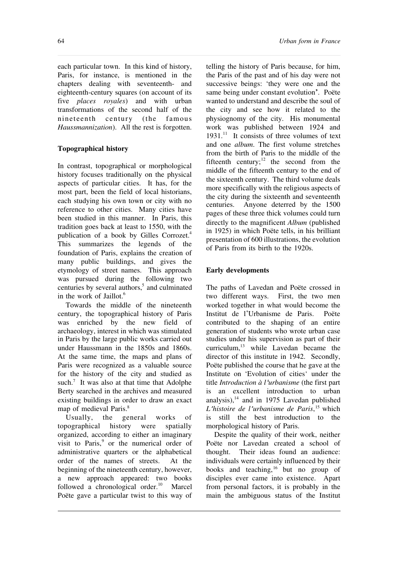each particular town. In this kind of history, Paris, for instance, is mentioned in the chapters dealing with seventeenth- and eighteenth-century squares (on account of its five *places royales*) and with urban transformations of the second half of the nineteenth century (the famous *Haussmannization*). All the rest is forgotten.

## **Topographical history**

In contrast, topographical or morphological history focuses traditionally on the physical aspects of particular cities. It has, for the most part, been the field of local historians, each studying his own town or city with no reference to other cities. Many cities have been studied in this manner. In Paris, this tradition goes back at least to 1550, with the publication of a book by Gilles Corrozet.<sup>4</sup> This summarizes the legends of the foundation of Paris, explains the creation of many public buildings, and gives the etymology of street names. This approach was pursued during the following two centuries by several authors,<sup>5</sup> and culminated in the work of Jaillot.<sup>6</sup>

Towards the middle of the nineteenth century, the topographical history of Paris was enriched by the new field of archaeology, interest in which was stimulated in Paris by the large public works carried out under Haussmann in the 1850s and 1860s. At the same time, the maps and plans of Paris were recognized as a valuable source for the history of the city and studied as such.<sup>7</sup> It was also at that time that Adolphe Berty searched in the archives and measured existing buildings in order to draw an exact map of medieval Paris.<sup>8</sup>

Usually, the general works of topographical history were spatially organized, according to either an imaginary visit to Paris,<sup>9</sup> or the numerical order of administrative quarters or the alphabetical order of the names of streets. At the beginning of the nineteenth century, however, a new approach appeared: two books followed a chronological order.<sup>10</sup> Marcel Poëte gave a particular twist to this way of

telling the history of Paris because, for him, the Paris of the past and of his day were not successive beings: 'they were one and the same being under constant evolution'. Poëte wanted to understand and describe the soul of the city and see how it related to the physiognomy of the city. His monumental work was published between 1924 and  $1931<sup>11</sup>$  It consists of three volumes of text and one *album*. The first volume stretches from the birth of Paris to the middle of the fifteenth century; $12$  the second from the middle of the fifteenth century to the end of the sixteenth century. The third volume deals more specifically with the religious aspects of the city during the sixteenth and seventeenth centuries. Anyone deterred by the 1500 pages of these three thick volumes could turn directly to the magnificent *Album* (published in 1925) in which Poëte tells, in his brilliant presentation of 600 illustrations, the evolution of Paris from its birth to the 1920s.

## **Early developments**

The paths of Lavedan and Poëte crossed in two different ways. First, the two men worked together in what would become the Institut de l'Urbanisme de Paris. Poëte contributed to the shaping of an entire generation of students who wrote urban case studies under his supervision as part of their curriculum,<sup>13</sup> while Lavedan became the director of this institute in 1942. Secondly, Poëte published the course that he gave at the Institute on 'Evolution of cities' under the title *Introduction à l urbanisme* (the first part is an excellent introduction to urban analysis), $14$  and in 1975 Lavedan published *L histoire de l urbanisme de Paris*, <sup>15</sup> which is still the best introduction to the morphological history of Paris.

Despite the quality of their work, neither Poëte nor Lavedan created a school of thought. Their ideas found an audience: individuals were certainly influenced by their books and teaching,<sup>16</sup> but no group of disciples ever came into existence. Apart from personal factors, it is probably in the main the ambiguous status of the Institut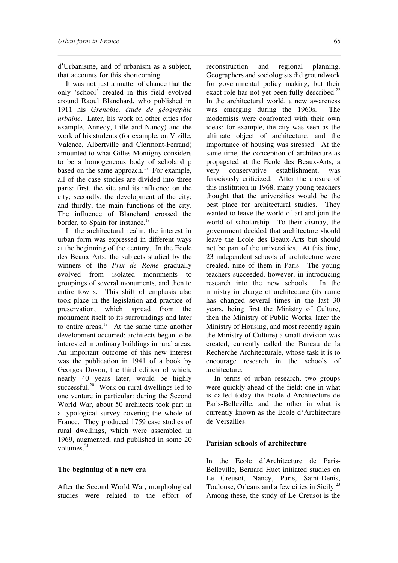d'Urbanisme, and of urbanism as a subject, that accounts for this shortcoming.

It was not just a matter of chance that the only 'school' created in this field evolved around Raoul Blanchard, who published in 1911 his *Grenoble, étude de géographie urbaine*. Later, his work on other cities (for example, Annecy, Lille and Nancy) and the work of his students (for example, on Vizille, Valence, Albertville and Clermont-Ferrand) amounted to what Gilles Montigny considers to be a homogeneous body of scholarship based on the same approach.<sup>17</sup> For example, all of the case studies are divided into three parts: first, the site and its influence on the city; secondly, the development of the city; and thirdly, the main functions of the city. The influence of Blanchard crossed the border, to Spain for instance.<sup>18</sup>

In the architectural realm, the interest in urban form was expressed in different ways at the beginning of the century. In the Ecole des Beaux Arts, the subjects studied by the winners of the *Prix de Rome* gradually evolved from isolated monuments to groupings of several monuments, and then to entire towns. This shift of emphasis also took place in the legislation and practice of preservation, which spread from the monument itself to its surroundings and later to entire areas.<sup>19</sup> At the same time another development occurred: architects began to be interested in ordinary buildings in rural areas. An important outcome of this new interest was the publication in 1941 of a book by Georges Doyon, the third edition of which, nearly 40 years later, would be highly  $s$ uccessful.<sup>20</sup> Work on rural dwellings led to one venture in particular: during the Second World War, about 50 architects took part in a typological survey covering the whole of France. They produced 1759 case studies of rural dwellings, which were assembled in 1969, augmented, and published in some 20 volumes. $^{21}$ 

#### **The beginning of a new era**

After the Second World War, morphological studies were related to the effort of

reconstruction and regional planning. Geographers and sociologists did groundwork for governmental policy making, but their exact role has not yet been fully described.<sup>22</sup> In the architectural world, a new awareness was emerging during the 1960s. The modernists were confronted with their own ideas: for example, the city was seen as the ultimate object of architecture, and the importance of housing was stressed. At the same time, the conception of architecture as propagated at the Ecole des Beaux-Arts, a very conservative establishment, was ferociously criticized. After the closure of this institution in 1968, many young teachers thought that the universities would be the best place for architectural studies. They wanted to leave the world of art and join the world of scholarship. To their dismay, the government decided that architecture should leave the Ecole des Beaux-Arts but should not be part of the universities. At this time, 23 independent schools of architecture were created, nine of them in Paris. The young teachers succeeded, however, in introducing research into the new schools. In the ministry in charge of architecture (its name has changed several times in the last 30 years, being first the Ministry of Culture, then the Ministry of Public Works, later the Ministry of Housing, and most recently again the Ministry of Culture) a small division was created, currently called the Bureau de la Recherche Architecturale, whose task it is to encourage research in the schools of architecture.

In terms of urban research, two groups were quickly ahead of the field: one in what is called today the Ecole d Architecture de Paris-Belleville, and the other in what is currently known as the Ecole d'Architecture de Versailles.

### **Parisian schools of architecture**

In the Ecole d'Architecture de Paris-Belleville, Bernard Huet initiated studies on Le Creusot, Nancy, Paris, Saint-Denis, Toulouse, Orleans and a few cities in Sicily.<sup>23</sup> Among these, the study of Le Creusot is the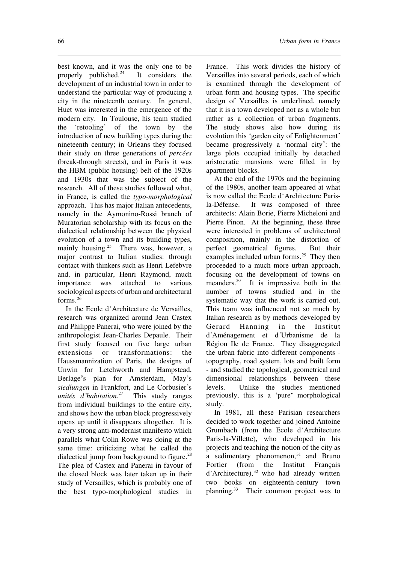66 *Urban form in France*

best known, and it was the only one to be properly published. $^{24}$  It considers the development of an industrial town in order to understand the particular way of producing a city in the nineteenth century. In general, Huet was interested in the emergence of the modern city. In Toulouse, his team studied the 'retooling' of the town by the introduction of new building types during the nineteenth century; in Orleans they focused their study on three generations of *percées* (break-through streets), and in Paris it was the HBM (public housing) belt of the 1920s and 1930s that was the subject of the research. All of these studies followed what, in France, is called the *typo-morphological* approach. This has major Italian antecedents, namely in the Aymonino-Rossi branch of Muratorian scholarship with its focus on the dialectical relationship between the physical evolution of a town and its building types, mainly housing.<sup>25</sup> There was, however, a major contrast to Italian studies: through contact with thinkers such as Henri Lefebvre and, in particular, Henri Raymond, much importance was attached to various sociological aspects of urban and architectural forms.<sup>26</sup>

In the Ecole d'Architecture de Versailles, research was organized around Jean Castex and Philippe Panerai, who were joined by the anthropologist Jean-Charles Depaule. Their first study focused on five large urban extensions or transformations: the Haussmannization of Paris, the designs of Unwin for Letchworth and Hampstead, Berlage's plan for Amsterdam, May's *siedlungen* in Frankfort, and Le Corbusier s *unités d habitation*. This study ranges from individual buildings to the entire city, and shows how the urban block progressively opens up until it disappears altogether. It is a very strong anti-modernist manifesto which parallels what Colin Rowe was doing at the same time: criticizing what he called the dialectical jump from background to figure. $^{28}$ The plea of Castex and Panerai in favour of the closed block was later taken up in their study of Versailles, which is probably one of the best typo-morphological studies in

France. This work divides the history of Versailles into several periods, each of which is examined through the development of urban form and housing types. The specific design of Versailles is underlined, namely that it is a town developed not as a whole but rather as a collection of urban fragments. The study shows also how during its evolution this 'garden city of Enlightenment became progressively a 'normal city : the large plots occupied initially by detached aristocratic mansions were filled in by apartment blocks.

At the end of the 1970s and the beginning of the 1980s, another team appeared at what is now called the Ecole d'Architecture Parisla-Défense. It was composed of three architects: Alain Borie, Pierre Micheloni and Pierre Pinon. At the beginning, these three were interested in problems of architectural composition, mainly in the distortion of perfect geometrical figures. But their examples included urban forms.<sup>29</sup> They then proceeded to a much more urban approach, focusing on the development of towns on<br>meanders.<sup>30</sup> It is impressive both in the It is impressive both in the number of towns studied and in the systematic way that the work is carried out. This team was influenced not so much by Italian research as by methods developed by Gerard Hanning in the Institut d Aménagement et d Urbanisme de la Région Ile de France. They disaggregated the urban fabric into different components topography, road system, lots and built form - and studied the topological, geometrical and dimensional relationships between these levels. Unlike the studies mentioned previously, this is a 'pure' morphological study.

In 1981, all these Parisian researchers decided to work together and joined Antoine Grumbach (from the Ecole d'Architecture Paris-la-Villette), who developed in his projects and teaching the notion of the city as a sedimentary phenomenon, $31$  and Bruno Fortier (from the Institut Français  $d'$ Architecture),<sup>32</sup> who had already written two books on eighteenth-century town planning.<sup>33</sup> Their common project was to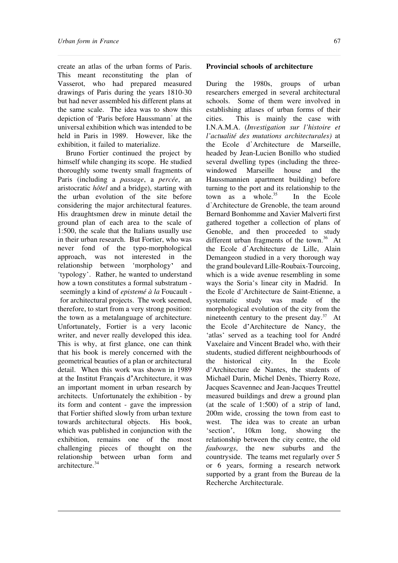create an atlas of the urban forms of Paris. This meant reconstituting the plan of Vasserot, who had prepared measured drawings of Paris during the years 1810-30 but had never assembled his different plans at the same scale. The idea was to show this depiction of 'Paris before Haussmann' at the universal exhibition which was intended to be held in Paris in 1989. However, like the exhibition, it failed to materialize.

Bruno Fortier continued the project by himself while changing its scope. He studied thoroughly some twenty small fragments of Paris (including a *passage*, a *percée*, an aristocratic *hôtel* and a bridge), starting with the urban evolution of the site before considering the major architectural features. His draughtsmen drew in minute detail the ground plan of each area to the scale of 1:500, the scale that the Italians usually use in their urban research. But Fortier, who was never fond of the typo-morphological approach, was not interested in the relationship between 'morphology and 'typology . Rather, he wanted to understand how a town constitutes a formal substratum seemingly a kind of *epistemé à la* Foucault for architectural projects. The work seemed, therefore, to start from a very strong position: the town as a metalanguage of architecture. Unfortunately, Fortier is a very laconic writer, and never really developed this idea. This is why, at first glance, one can think that his book is merely concerned with the geometrical beauties of a plan or architectural detail. When this work was shown in 1989 at the Institut Français d Architecture, it was an important moment in urban research by architects. Unfortunately the exhibition - by its form and content - gave the impression that Fortier shifted slowly from urban texture towards architectural objects. His book, which was published in conjunction with the exhibition, remains one of the most challenging pieces of thought on the relationship between urban form and architecture.<sup>34</sup>

#### **Provincial schools of architecture**

During the 1980s, groups of urban researchers emerged in several architectural schools. Some of them were involved in establishing atlases of urban forms of their cities. This is mainly the case with I.N.A.M.A. (*Investigation sur l'histoire et l'actualité des mutations architecturales)* at the Ecole d Architecture de Marseille, headed by Jean-Lucien Bonillo who studied several dwelling types (including the threewindowed Marseille house and the Haussmannien apartment building) before turning to the port and its relationship to the town as a whole. $35$  In the Ecole d Architecture de Grenoble, the team around Bernard Bonhomme and Xavier Malverti first gathered together a collection of plans of Genoble, and then proceeded to study different urban fragments of the town.<sup>36</sup> At the Ecole d'Architecture de Lille, Alain Demangeon studied in a very thorough way the grand boulevard Lille-Roubaix-Tourcoing, which is a wide avenue resembling in some ways the Soria's linear city in Madrid. In the Ecole d'Architecture de Saint-Etienne, a systematic study was made of the morphological evolution of the city from the nineteenth century to the present day.<sup>37</sup> At the Ecole d'Architecture de Nancy, the 'atlas' served as a teaching tool for André Vaxelaire and Vincent Bradel who, with their students, studied different neighbourhoods of the historical city. In the Ecole d Architecture de Nantes, the students of Michaël Darin, Michel Denès, Thierry Roze, Jacques Scavennec and Jean-Jacques Treuttel measured buildings and drew a ground plan (at the scale of 1:500) of a strip of land, 200m wide, crossing the town from east to west. The idea was to create an urban<br>'section', 10km long, showing the 10km long, showing the relationship between the city centre, the old *faubourgs*, the new suburbs and the countryside. The teams met regularly over 5 or 6 years, forming a research network supported by a grant from the Bureau de la Recherche Architecturale.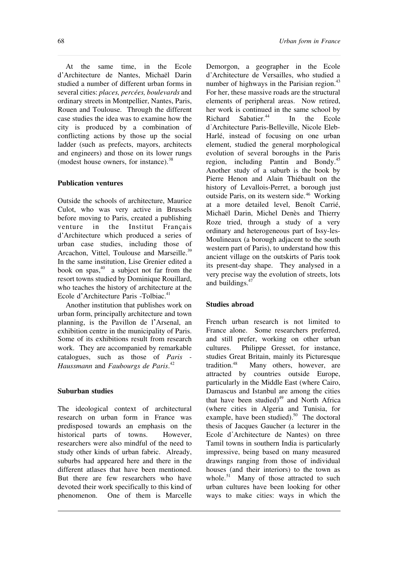At the same time, in the Ecole d Architecture de Nantes, Michaël Darin studied a number of different urban forms in several cities: *places, percées, boulevards* and ordinary streets in Montpellier, Nantes, Paris, Rouen and Toulouse. Through the different case studies the idea was to examine how the city is produced by a combination of conflicting actions by those up the social ladder (such as prefects, mayors, architects and engineers) and those on its lower rungs (modest house owners, for instance).  $38$ 

## **Publication ventures**

Outside the schools of architecture, Maurice Culot, who was very active in Brussels before moving to Paris, created a publishing venture in the Institut Français d Architecture which produced a series of urban case studies, including those of Arcachon, Vittel, Toulouse and Marseille.<sup>39</sup> In the same institution, Lise Grenier edited a book on spas, $40$  a subject not far from the resort towns studied by Dominique Rouillard, who teaches the history of architecture at the Ecole d'Architecture Paris -Tolbiac.<sup>41</sup>

Another institution that publishes work on urban form, principally architecture and town planning, is the Pavillon de l'Arsenal, an exhibition centre in the municipality of Paris. Some of its exhibitions result from research work. They are accompanied by remarkable catalogues, such as those of *Paris - Haussmann* and *Faubourgs de Paris*. 42

#### **Suburban studies**

The ideological context of architectural research on urban form in France was predisposed towards an emphasis on the historical parts of towns. However, researchers were also mindful of the need to study other kinds of urban fabric. Already, suburbs had appeared here and there in the different atlases that have been mentioned. But there are few researchers who have devoted their work specifically to this kind of phenomenon. One of them is Marcelle

Demorgon, a geographer in the Ecole d Architecture de Versailles, who studied a number of highways in the Parisian region. $43$ For her, these massive roads are the structural elements of peripheral areas. Now retired, her work is continued in the same school by Richard Sabatier.<sup>44</sup> In the Ecole d Architecture Paris-Belleville, Nicole Eleb-Harlé, instead of focusing on one urban element, studied the general morphological evolution of several boroughs in the Paris region, including Pantin and Bondy.<sup>45</sup> Another study of a suburb is the book by Pierre Henon and Alain Thiébault on the history of Levallois-Perret, a borough just outside Paris, on its western side.<sup>46</sup> Working at a more detailed level, Benoît Carrié, Michaël Darin, Michel Denès and Thierry Roze tried, through a study of a very ordinary and heterogeneous part of Issy-les-Moulineaux (a borough adjacent to the south western part of Paris), to understand how this ancient village on the outskirts of Paris took its present-day shape. They analysed in a very precise way the evolution of streets, lots and buildings.<sup>47</sup>

### **Studies abroad**

French urban research is not limited to France alone. Some researchers preferred, and still prefer, working on other urban cultures. Philippe Gresset, for instance, studies Great Britain, mainly its Picturesque tradition.<sup>48</sup> Many others, however, are attracted by countries outside Europe, particularly in the Middle East (where Cairo, Damascus and Istanbul are among the cities that have been studied) $49$  and North Africa (where cities in Algeria and Tunisia, for example, have been studied).<sup>50</sup> The doctoral thesis of Jacques Gaucher (a lecturer in the Ecole d'Architecture de Nantes) on three Tamil towns in southern India is particularly impressive, being based on many measured drawings ranging from those of individual houses (and their interiors) to the town as whole. $51$  Many of those attracted to such urban cultures have been looking for other ways to make cities: ways in which the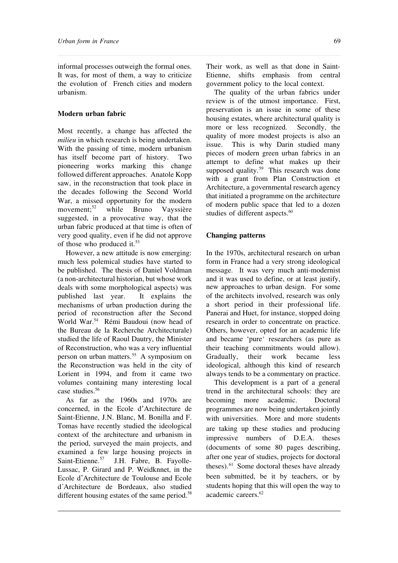informal processes outweigh the formal ones. It was, for most of them, a way to criticize the evolution of French cities and modern urbanism.

## **Modern urban fabric**

Most recently, a change has affected the *milieu* in which research is being undertaken. With the passing of time, modern urbanism has itself become part of history. Two pioneering works marking this change followed different approaches. Anatole Kopp saw, in the reconstruction that took place in the decades following the Second World War, a missed opportunity for the modern movement:<sup>52</sup> while Bruno Vayssière suggested, in a provocative way, that the urban fabric produced at that time is often of very good quality, even if he did not approve of those who produced it.<sup>53</sup>

However, a new attitude is now emerging: much less polemical studies have started to be published. The thesis of Daniel Voldman (a non-architectural historian, but whose work deals with some morphological aspects) was published last year. It explains the mechanisms of urban production during the period of reconstruction after the Second World War.<sup>54</sup> Rémi Baudoui (now head of the Bureau de la Recherche Architecturale) studied the life of Raoul Dautry, the Minister of Reconstruction, who was a very influential person on urban matters.<sup>55</sup> A symposium on the Reconstruction was held in the city of Lorient in 1994, and from it came two volumes containing many interesting local case studies.<sup>56</sup>

As far as the 1960s and 1970s are concerned, in the Ecole d Architecture de Saint-Etienne, J.N. Blanc, M. Bonilla and F. Tomas have recently studied the ideological context of the architecture and urbanism in the period, surveyed the main projects, and examined a few large housing projects in Saint-Etienne.<sup>57</sup> J.H. Fabre, B. Fayolle-Lussac, P. Girard and P. Weidknnet, in the Ecole d'Architecture de Toulouse and Ecole d Architecture de Bordeaux, also studied different housing estates of the same period. $58$ 

Their work, as well as that done in Saint-Etienne, shifts emphasis from central government policy to the local context.

The quality of the urban fabrics under review is of the utmost importance. First, preservation is an issue in some of these housing estates, where architectural quality is more or less recognized. Secondly, the quality of more modest projects is also an issue. This is why Darin studied many pieces of modern green urban fabrics in an attempt to define what makes up their supposed quality.<sup>59</sup> This research was done with a grant from Plan Construction et Architecture, a governmental research agency that initiated a programme on the architecture of modern public space that led to a dozen studies of different aspects.<sup>60</sup>

## **Changing patterns**

In the 1970s, architectural research on urban form in France had a very strong ideological message. It was very much anti-modernist and it was used to define, or at least justify, new approaches to urban design. For some of the architects involved, research was only a short period in their professional life. Panerai and Huet, for instance, stopped doing research in order to concentrate on practice. Others, however, opted for an academic life and became 'pure' researchers (as pure as their teaching commitments would allow). Gradually, their work became less ideological, although this kind of research always tends to be a commentary on practice.

This development is a part of a general trend in the architectural schools: they are becoming more academic. Doctoral programmes are now being undertaken jointly with universities. More and more students are taking up these studies and producing impressive numbers of D.E.A. theses (documents of some 80 pages describing, after one year of studies, projects for doctoral theses).<sup>61</sup> Some doctoral theses have already been submitted, be it by teachers, or by students hoping that this will open the way to academic careers<sup>62</sup>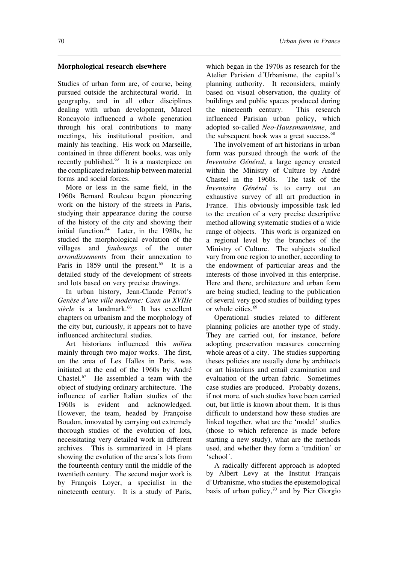## **Morphological research elsewhere**

Studies of urban form are, of course, being pursued outside the architectural world. In geography, and in all other disciplines dealing with urban development, Marcel Roncayolo influenced a whole generation through his oral contributions to many meetings, his institutional position, and mainly his teaching. His work on Marseille, contained in three different books, was only recently published.<sup>63</sup> It is a masterpiece on the complicated relationship between material forms and social forces.

More or less in the same field, in the 1960s Bernard Rouleau began pioneering work on the history of the streets in Paris, studying their appearance during the course of the history of the city and showing their initial function.<sup>64</sup> Later, in the 1980s, he studied the morphological evolution of the villages and *faubourgs* of the outer *arrondissements* from their annexation to Paris in 1859 until the present. $65$  It is a detailed study of the development of streets and lots based on very precise drawings.

In urban history, Jean-Claude Perrot's *Genèse d une ville moderne: Caen au XVIIIe* siècle is a landmark.<sup>66</sup> It has excellent chapters on urbanism and the morphology of the city but, curiously, it appears not to have influenced architectural studies.

Art historians influenced this *milieu* mainly through two major works. The first, on the area of Les Halles in Paris, was initiated at the end of the 1960s by André Chastel.<sup>67</sup> He assembled a team with the object of studying ordinary architecture. The influence of earlier Italian studies of the 1960s is evident and acknowledged. However, the team, headed by Françoise Boudon, innovated by carrying out extremely thorough studies of the evolution of lots, necessitating very detailed work in different archives. This is summarized in 14 plans showing the evolution of the area's lots from the fourteenth century until the middle of the twentieth century. The second major work is by François Loyer, a specialist in the nineteenth century. It is a study of Paris,

which began in the 1970s as research for the Atelier Parisien d'Urbanisme, the capital's planning authority. It reconsiders, mainly based on visual observation, the quality of buildings and public spaces produced during the nineteenth century. This research influenced Parisian urban policy, which adopted so-called *Neo-Haussmannisme*, and the subsequent book was a great success.<sup>68</sup>

The involvement of art historians in urban form was pursued through the work of the *Inventaire Général*, a large agency created within the Ministry of Culture by André Chastel in the 1960s. The task of the *Inventaire Général* is to carry out an exhaustive survey of all art production in France. This obviously impossible task led to the creation of a very precise descriptive method allowing systematic studies of a wide range of objects. This work is organized on a regional level by the branches of the Ministry of Culture. The subjects studied vary from one region to another, according to the endowment of particular areas and the interests of those involved in this enterprise. Here and there, architecture and urban form are being studied, leading to the publication of several very good studies of building types or whole cities.<sup>69</sup>

Operational studies related to different planning policies are another type of study. They are carried out, for instance, before adopting preservation measures concerning whole areas of a city. The studies supporting theses policies are usually done by architects or art historians and entail examination and evaluation of the urban fabric. Sometimes case studies are produced. Probably dozens, if not more, of such studies have been carried out, but little is known about them. It is thus difficult to understand how these studies are linked together, what are the 'model' studies (those to which reference is made before starting a new study), what are the methods used, and whether they form a 'tradition' or 'school'

A radically different approach is adopted by Albert Levy at the Institut Français d'Urbanisme, who studies the epistemological basis of urban policy, $70$  and by Pier Giorgio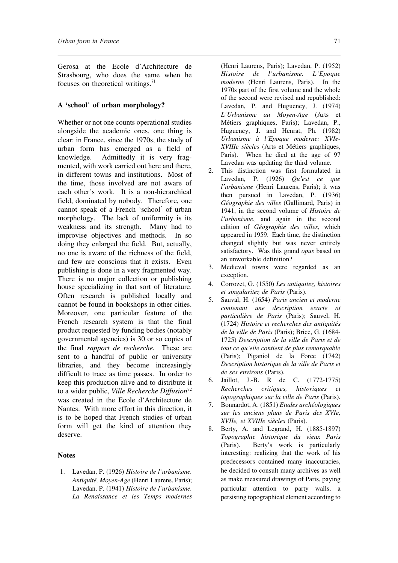Gerosa at the Ecole d'Architecture de Strasbourg, who does the same when he focuses on theoretical writings.<sup>71</sup>

#### **A 'school of urban morphology?**

Whether or not one counts operational studies alongside the academic ones, one thing is clear: in France, since the 1970s, the study of urban form has emerged as a field of knowledge. Admittedly it is very fragmented, with work carried out here and there, in different towns and institutions. Most of the time, those involved are not aware of each other's work. It is a non-hierarchical field, dominated by nobody. Therefore, one cannot speak of a French 'school' of urban morphology. The lack of uniformity is its weakness and its strength. Many had to improvise objectives and methods. In so doing they enlarged the field. But, actually, no one is aware of the richness of the field, and few are conscious that it exists. Even publishing is done in a very fragmented way. There is no major collection or publishing house specializing in that sort of literature. Often research is published locally and cannot be found in bookshops in other cities. Moreover, one particular feature of the French research system is that the final product requested by funding bodies (notably governmental agencies) is 30 or so copies of the final *rapport de recherche.* These are sent to a handful of public or university libraries, and they become increasingly difficult to trace as time passes. In order to keep this production alive and to distribute it to a wider public, *Ville Recherche Diffusion*<sup>72</sup> was created in the Ecole d'Architecture de Nantes. With more effort in this direction, it is to be hoped that French studies of urban form will get the kind of attention they deserve.

#### **Notes**

1. Lavedan, P. (1926) *Histoire de l urbanisme. Antiquité, Moyen-Age* (Henri Laurens, Paris); Lavedan, P. (1941) *Histoire de l urbanisme. La Renaissance et les Temps modernes*

(Henri Laurens, Paris); Lavedan, P. (1952) *Histoire de l urbanisme. L Epoque moderne* (Henri Laurens, Paris). In the 1970s part of the first volume and the whole of the second were revised and republished: Lavedan, P. and Hugueney, J. (1974) *L Urbanisme au Moyen-Age* (Arts et Métiers graphiques, Paris); Lavedan, P., Hugueney, J. and Henrat, Ph. (1982) *Urbanisme à l Epoque moderne: XVIe-XVIIIe siècles* (Arts et Métiers graphiques, Paris). When he died at the age of 97 Lavedan was updating the third volume.

- 2. This distinction was first formulated in Lavedan, P. (1926) *Qu est ce que l urbanisme* (Henri Laurens, Paris); it was then pursued in Lavedan, P. (1936) *Géographie des villes* (Gallimard, Paris) in 1941, in the second volume of *Histoire de l urbanisme*, and again in the second edition of *Géographie des villes*, which appeared in 1959. Each time, the distinction changed slightly but was never entirely satisfactory. Was this grand *opus* based on an unworkable definition?
- 3. Medieval towns were regarded as an exception.
- 4. Corrozet, G. (1550) *Les antiquitez, histoires et singularitez de Paris* (Paris).
- 5. Sauval, H. (1654) *Paris ancien et moderne contenant une description exacte at particulière de Paris* (Paris); Sauvel, H. (1724) *Histoire et recherches des antiquités de la ville de Paris* (Paris); Brice, G. (1684- 1725) *Description de la ville de Paris et de tout ce qu elle contient de plus remarquable* (Paris); Piganiol de la Force (1742) *Description historique de la ville de Paris et de ses environs* (Paris).
- 6. Jaillot, J.-B. R de C. (1772-1775) *Recherches critiques, historiques et topographiques sur la ville de Paris* (Paris).
- 7. Bonnardot, A. (1851) *Etudes archéologiques sur les anciens plans de Paris des XVIe, XVIIe, et XVIIIe siècles* (Paris).
- 8. Berty, A. and Legrand, H. (1885-1897) *Topographie historique du vieux Paris* (Paris). Berty's work is particularly interesting: realizing that the work of his predecessors contained many inaccuracies, he decided to consult many archives as well as make measured drawings of Paris, paying particular attention to party walls, a persisting topographical element according to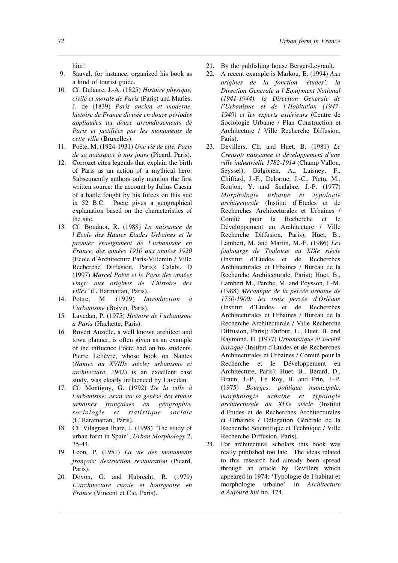him!

- 9. Sauval, for instance, organized his book as a kind of tourist guide.
- 10. Cf. Dulaure, J.-A. (1825) *Histoire physique, civile et morale de Paris* (Paris) and Marlès, J. de (1839) *Paris ancien et moderne, histoire de France divisée en douze périodes appliquées au douze arrondissements de Paris et justifiées par les monuments de cette ville* (Bruxelles).
- 11. Poëte, M. (1924-1931) *Une vie de cité. Paris de sa naissance à nos jours* (Picard, Paris).
- 12. Corrozet cites legends that explain the birth of Paris as an action of a mythical hero. Subsequently authors only mention the first written source: the account by Julius Caesar of a battle fought by his forces on this site in 52 B.C. Poëte gives a geographical explanation based on the characteristics of the site.
- 13. Cf. Bouduoï, R. (1988) *La naissance de l Ecole des Hautes Etudes Urbaines et le premier enseignment de l urbanisme en France, des années 1910 aux années 1920* (Ecole d Architecture Paris-Villemin / Ville Recherche Diffusion, Paris); Calabi, D (1997) *Marcel Poëte et le Paris des années vingt: aux origines de l histoire des villes* (L'Harmattan, Paris).<br>14. Poëte, M. (1929) In
- 14. Poëte, M. (1929) *Introduction à l urbanisme* (Boivin, Paris).
- 15. Lavedan, P. (1975) *Histoire de l urbanisme à Paris* (Hachette, Paris).
- 16. Rovert Auzelle, a well known architect and town planner, is often given as an example of the influence Poëte had on his students. Pierre Lelièvre, whose book on Nantes (*Nantes au XVIIIe siècle; urbanisme et architecture*, 1942) is an excellent case study, was clearly influenced by Lavedan.
- 17. Cf. Montigny, G. (1992) *De la ville à l urbanisme: essai sur la genèse des études urbaines françaises en gèographie, sociologie et statistique sociale* (L Haramattan, Paris).
- 18. Cf. Vilagrasa Ibarz, J. (1998) 'The study of urban form in Spain , *Urban Morphology* 2, 35-44.
- 19. Leon, P. (1951) *La vie des monuments français; destruction restauration* (Picard, Paris).
- 20. Doyon, G. and Hubrecht, R. (1979) *L architecture rurale et bourgeoise en France* (Vincent et Cie, Paris).
- 21. By the publishing house Berger-Levrault.
- 22. A recent example is Markou, E. (1994) *Aux origines de la fonction 'études : la Direction Generale a l Equipment National (1941-1944), la Direction Generale de l Urbanisme et de l Habitation (1947- 1949) et les experts extérieurs* (Centre de Sociologie Urbaine / Plan Construction et Architecture / Ville Recherche Diffusion, Paris).
- 23. Devillers, Ch. and Huet, B. (1981) *Le Creusot: naissance et développement d une ville industrielle 1782-1914* (Champ Vallon, Seyssel); Gülgönen, A., Laisney, F., Chiffard, J.-F., Delorme, J.-C., Pietu, M., Roujon, Y. and Scalabre, J.-P. (1977) *Morphologie urbaine et typologie architecturale* (Institut d Etudes et de Recherches Architecturales et Urbaines / Comité pour la Recherche et le Développement en Architecture / Ville Recherche Diffusion, Paris); Huet, B., Lambert, M. and Martin, M.-F. (1986) *Les faubourgs de Toulouse au XIXe siècle* (Institut d'Etudes et de Recherches Architecturales et Urbaines / Bureau de la Recherche Architecturale, Paris); Huet, B., Lambert M., Perche, M. and Peysson, J.-M. (1988) *Mécanique de la percée urbaine de 1750-1900: les trois percée d Orléans* (Institut d'Etudes et de Recherches Architecturales et Urbaines / Bureau de la Recherche Architecturale / Ville Recherche Diffusion, Paris); Dufour, L., Huet. B. and Raymond, H. (1977) *Urbanistique et société baroque* (Institut d'Etudes et de Recherches Architecturales et Urbaines / Comité pour la Recherche et le Développement en Architecture, Paris); Huet, B., Berard, D., Braun, J.-P., Le Roy, B. and Prin, J.-P. (1975) *Bourges: politique municipale, morphologie urbaine et typologie architecturale au XIXe siècle* (Institut d Etudes et de Recherches Architecturales et Urbaines / Délegation Générale de la Recherche Scientifique et Technique / Ville Recherche Diffusion, Paris).
- 24. For architectural scholars this book was really published too late. The ideas related to this research had already been spread through an article by Devillers which appeared in 1974: 'Typologie de l habitat et morphologie urbaine' in *Architecture d Aujourd hui* no. 174.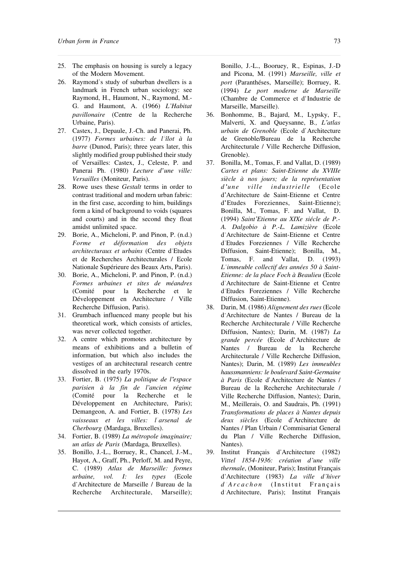- 25. The emphasis on housing is surely a legacy of the Modern Movement.
- 26. Raymond's study of suburban dwellers is a landmark in French urban sociology: see Raymond, H., Haumont, N., Raymond, M.- G. and Haumont, A. (1966) *L Habitat pavillonaire* (Centre de la Recherche Urbaine, Paris).
- 27. Castex, J., Depaule, J.-Ch. and Panerai, Ph. (1977) *Formes urbaines: de l îlot à la barre* (Dunod, Paris); three years later, this slightly modified group published their study of Versailles: Castex, J., Celeste, P. and Panerai Ph. (1980) *Lecture d une ville: Versailles* (Moniteur, Paris).
- 28. Rowe uses these *Gestalt* terms in order to contrast traditional and modern urban fabric: in the first case, according to him, buildings form a kind of background to voids (squares and courts) and in the second they float amidst unlimited space.
- 29. Borie, A., Micheloni, P. and Pinon, P. (n.d.) *Forme et déformation des objets architecturaux et urbains* (Centre d Etudes et de Recherches Architecturales / Ecole Nationale Supérieure des Beaux Arts, Paris).
- 30. Borie, A., Micheloni, P. and Pinon, P. (n.d.) *Formes urbaines et sites de méandres* (Comité pour la Recherche et le Développement en Architecture / Ville Recherche Diffusion, Paris).
- 31. Grumbach influenced many people but his theoretical work, which consists of articles, was never collected together.
- 32. A centre which promotes architecture by means of exhibitions and a bulletin of information, but which also includes the vestiges of an architectural research centre dissolved in the early 1970s.
- 33. Fortier, B. (1975) *La politique de l espace parisien à la fin de l ancien régime* (Comité pour la Recherche et le Développement en Architecture, Paris); Demangeon, A. and Fortier, B. (1978) *Les vaisseaux et les villes: l arsenal de Cherbourg* (Mardaga, Bruxelles).
- 34. Fortier, B. (1989) *La métropole imaginaire; un atlas de Paris* (Mardaga, Bruxelles).
- 35. Bonillo, J.-L., Borruey, R., Chancel, J.-M., Hayot, A., Graff, Ph., Perloff, M. and Peyre, C. (1989) *Atlas de Marseille: formes urbaine, vol. I: les types* (Ecole d'Architecture de Marseille / Bureau de la Recherche Architecturale, Marseille);

Bonillo, J.-L., Booruey, R., Espinas, J.-D and Picona, M. (1991) *Marseille, ville et port* (Paranthéses, Marseille); Borruey, R. (1994) *Le port moderne de Marseille* (Chambre de Commerce et d'Industrie de Marseille, Marseille).

- 36. Bonhomme, B., Bajard, M., Lypsky, F., Malverti, X. and Queysanne, B*., L atlas urbain de Grenoble* (Ecole d Architecture de Grenoble/Bureau de la Recherche Architecturale / Ville Recherche Diffusion, Grenoble).
- 37. Bonilla, M., Tomas, F. and Vallat, D. (1989) *Cartes et plans: Saint-Etienne du XVIIIe siècle à nos jours; de la représentation d une v ill e industri e ll e* (Ecol e d Architecture de Saint-Etienne et Centre d Etudes Foreziennes, Saint-Etienne); Bonilla, M., Tomas, F. and Vallat, D. (1994) *Saint Etienne au XIXe siécle de P.- A. Dalgobio à P.-L. Lamizière* (Ecole d Architecture de Saint-Etienne et Centre d Etudes Foreziennes / Ville Recherche Diffusion, Saint-Etienne); Bonilla, M., Tomas, F. and Vallat, D. (1993) *L immeuble collectif des années 50 à Saint-Etienne: de la place Foch à Beaulieu* (Ecole d Architecture de Saint-Etienne et Centre d Etudes Foreziennes / Ville Recherche Diffusion, Saint-Etienne).
- 38. Darin, M. (1986) *Alignement des rues* (Ecole d Architecture de Nantes / Bureau de la Recherche Architecturale / Ville Recherche Diffusion, Nantes); Darin, M. (1987) *La* grande percée (Ecole d'Architecture de Nantes / Bureau de la Recherche Architecturale / Ville Recherche Diffusion, Nantes); Darin, M. (1989) *Les immeubles haussmanniens: le boulevard Saint-Germaine à Paris* (Ecole d Architecture de Nantes / Bureau de la Recherche Architecturale / Ville Recherche Diffusion, Nantes); Darin, M., Meillerais, O. and Saudrais, Ph. (1991) *Transformations de places à Nantes depuis deux siècles* (Ecole d Architecture de Nantes / Plan Urbain / Commisariat General du Plan / Ville Recherche Diffusion, Nantes).
- 39. Institut Français d Architecture (1982) *Vittel 1854-1936: création d une ville thermale*, (Moniteur, Paris); Institut Français d Architecture (1983) *La ville d hiver d A rcachon* (Institut Français d Architecture, Paris); Institut Français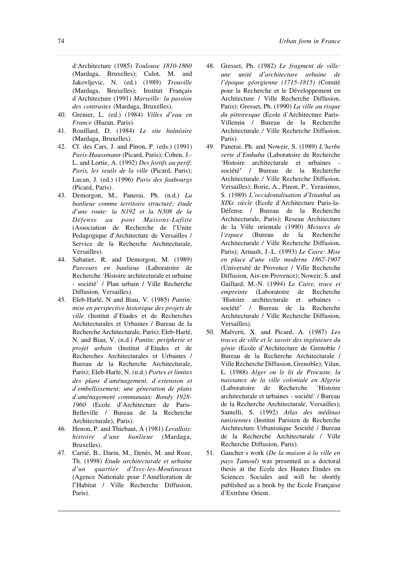d Architecture (1985) *Toulouse 1810-1860* (Mardaga, Bruxelles); Culot, M. and Jakovljevic, N. (ed.) (1989) *Trouville* (Mardaga, Bruxelles); Institut Français d Architecture (1991) *Marseille: la passion des contrastes* (Mardaga, Bruxelles).

- 40. Grenier, L. (ed.) (1984) *Villes d eau en France* (Hazan, Paris).
- 41. Rouillard, D. (1984) *Le site balnéaire* (Mardaga, Bruxelles).
- 42. Cf. des Cars, J. and Pinon, P. (eds.) (1991) *Paris-Haussmann* (Picard, Paris); Cohen, J.- L. and Lortie, A. (1992) *Des fortifs au perif; Paris, les seuils de la ville* (Picard, Paris); Lucan, J. (ed.) (1996) *Paris des faubourgs* (Picard, Paris).
- 43. Demorgon, M., Panerai, Ph. (n.d.) *La banlieue comme territoire structuré; étude d une route: la N192 et la N308 de la Défense au pont Maisons-Lafitte* (Association de Recherche de l'Unite Pedagogique d'Architecture de Versailles / Service de la Recherche Architecturale, Versailles).
- 44. Sabatier, R. and Demorgon, M. (1989) *Parcours en banlieue* (Laboratoire de Recherche 'Histoire architecturale et urbaine - société' / Plan urbain / Ville Recherche Diffusion, Versailles).
- 45. Eleb-Harlé, N and Biau, V. (1985) *Pantin; mise en perspective historique des projets de ville* (Institut d'Etudes et de Recherches Architecturales et Urbaines / Bureau de la Recherche Architecturale, Paris); Eleb-Harlé, N. and Biau, V. (n.d.) *Pantin; peripherie et projet urbain* (Institut d'Etudes et de Recherches Architecturales et Urbaines / Bureau de la Recherche Architecturale, Paris); Eleb-Harlé, N. (n.d.) *Portes et limites des plans d aménagement, d extension et d embellissement; une géneration de plans d aménagement communaux: Bondy 1928- 1960* (Ecole d Architecture de Paris-Belleville / Bureau de la Recherche Architecturale), Paris).
- 46. Henon, P. and Thiebaut, A (1981) *Levallois: histoire d une banlieue* (Mardaga, Bruxelles).
- 47. Carrié, B., Darin, M., Denès, M. and Roze, Th. (1998) *Etude architecturale et urbaine d un quartier d Issy-les-Moulineaux* (Agence Nationale pour l'Amélioration de l'Habitat / Ville Recherche Diffusion, Paris).
- 48. Gresset, Ph. (1982) *Le fragment de ville: une unité d architecture urbaine de l époque géorgienne (1715-1815)* (Comité pour la Recherche et le Développement en Architecture / Ville Recherche Diffusion, Paris); Gresset, Ph. (1990) *La ville au risque du pittoresque* (Ecole d Architecture Paris-Villemin / Bureau de la Recherche Architecturale / Ville Recherche Diffusion, Paris).
- 49. Panerai, Ph. and Noweir, S. (1989) *L herbe verte d Embaba* (Laboratoire de Recherche 'Histoire architecturale et urbaines société / Bureau de la Recherche Architecturale / Ville Recherche Diffusion, Versailles); Borie, A., Pinon, P., Yerasimos, S. (1989) *L occidentalisation d Istanbul au XIXe siècle* (Ecole d Architecture Paris-la-Défense / Bureau de la Recherche Architecturale, Paris); Reseau Architecture de la Ville orientale (1990) *Mesures de l espace* (Bureau de la Recherche Architecturale / Ville Recherche Diffusion, Paris); Arnault, J.-L. (1993) *Le Caire: Mise en place d une ville moderne 1867-1907* (Université de Provence / Ville Recherche Diffusion, Aix-en-Provence); Noweir, S. and Gaillard, M.-N. (1994) *Le Caire, trace et empreinte* (Laboratoire de Recherche 'Histoire architecturale et urbaines société / Bureau de la Recherche Architecturale / Ville Recherche Diffusion, Versailles).
- 50. Malverti, X. and Picard, A. (1987) *Les traces de ville et le savoir des ingénieurs du* génie (Ecole d'Architecture de Grenoble / Bureau de la Recherche Architecturale / Ville Recherche Diffusion, Grenoble); Vilan, L. (1988) *Alger ou le lit de Procuste, la naissance de la ville coloniale en Algerie* (Laboratoire de Recherche 'Histoire architecturale et urbaines - société / Bureau de la Recherche Architecturale, Versailles); Santelli, S. (1992) *Atlas des médinas tunisiennes* (Institut Parisien de Recherche Architecture Urbanistique Société / Bureau de la Recherche Architecturale / Ville Recherche Diffusion, Paris).
- 51. Gaucher s work (*De la maison à la ville en pays Tamoul*) was presented as a doctoral thesis at the Ecole des Hautes Etudes en Sciences Sociales and will be shortly published as a book by the Ecole Française d Extrême Orient.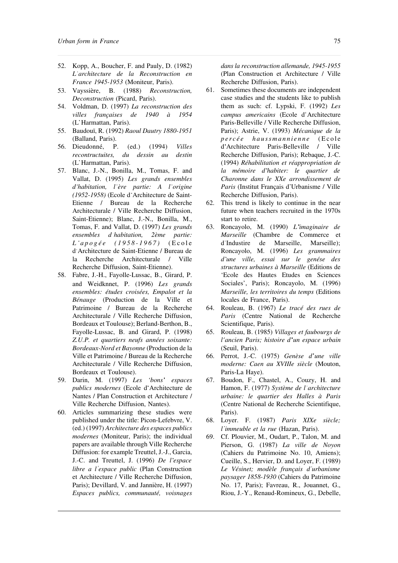- 52. Kopp, A., Boucher, F. and Pauly, D. (1982) *L architecture de la Reconstruction en France 1945-1953* (Moniteur, Paris).
- 53. Vayssière, B. (1988) *Reconstruction, Deconstruction* (Picard, Paris).
- 54. Voldman, D. (1997) *La reconstruction des villes françaises de 1940 à 1954* (L Harmattan, Paris).
- 55. Baudouï, R. (1992) *Raoul Dautry 1880-1951* (Balland, Paris).
- 56. Dieudonné, P. (ed.) (1994) *Villes recontructuites, du dessin au destin* (L Harmattan, Paris).
- 57. Blanc, J.-N., Bonilla, M., Tomas, F. and Vallat, D. (1995) *Les grands ensembles d habitation, l ère partie: A l origine (1952-1958)* (Ecole d Architecture de Saint-Etienne / Bureau de la Recherche Architecturale / Ville Recherche Diffusion, Saint-Etienne); Blanc, J.-N., Bonilla, M., Tomas, F. and Vallat, D. (1997) *Les grands ensembles d habitation, 2ème partie: L a p o g é e ( 1 9 5 8 - 1 9 6 7 )* ( E c o l e d'Architecture de Saint-Etienne / Bureau de la Recherche Architecturale / Ville Recherche Diffusion, Saint-Etienne).
- 58. Fabre, J.-H., Fayolle-Lussac, B., Girard, P. and Weidknnet, P. (1996) *Les grands ensembles: études croisées, Empalot et la Bénauge* (Production de la Ville et Patrimoine / Bureau de la Recherche Architecturale / Ville Recherche Diffusion, Bordeaux et Toulouse); Berland-Berthon, B., Fayolle-Lussac, B. and Girard, P. (1998) *Z.U.P. et quartiers neufs années soixante: Bordeaux-Nord et Bayonne* (Production de la Ville et Patrimoine / Bureau de la Recherche Architecturale / Ville Recherche Diffusion, Bordeaux et Toulouse).
- 59. Darin, M. (1997) *Les 'bons espaces* publics modernes (Ecole d'Architecture de Nantes / Plan Construction et Architecture / Ville Recherche Diffusion, Nantes).
- 60. Articles summarizing these studies were published under the title: Picon-Lefebvre, V. (ed.) (1997) *Architecture des espaces publics modernes* (Moniteur, Paris); the individual papers are available through Ville Recherche Diffusion: for example Treuttel, J.-J., Garcia, J.-C. and Treuttel, J. (1996) *De l espace libre a l espace public* (Plan Construction et Architecture / Ville Recherche Diffusion, Paris); Devillard, V. and Jannière, H. (1997) *Espaces publics, communauté, voisnages*

*dans la reconstruction allemande, 1945-1955* (Plan Construction et Architecture / Ville Recherche Diffusion, Paris).

- 61. Sometimes these documents are independent case studies and the students like to publish them as such: cf. Lypski, F. (1992) *Les campus americains* (Ecole d'Architecture Paris-Belleville / Ville Recherche Diffusion, Paris); Astrie, V. (1993) *Mécanique de la p e r c é e h a u ssma n n i e n n e* (Ec o l e d Architecture Paris-Belleville / Ville Recherche Diffusion, Paris); Rebaque, J.-C. (1994) *Réhabilitation et réappropriation de la mémoire d habiter: le quartier de Charonne dans le XXe arrondissement de* Paris (Institut Français d'Urbanisme / Ville Recherche Diffusion, Paris).
- 62. This trend is likely to continue in the near future when teachers recruited in the 1970s start to retire.
- 63. Roncayolo, M. (1990) *L imaginaire de Marseille* (Chambre de Commerce et d Industire de Marseille, Marseille); Roncayolo, M. (1996) *Les grammaires d une ville, essai sur le genése des structures urbaines à Marseille* (Editions de 'Ecole des Hautes Etudes en Sciences Sociales', Paris); Roncayolo, M. (1996) *Marseille, les territoires du temps* (Editions locales de France, Paris).
- 64. Rouleau, B. (1967) *Le tracé des rues de Paris* (Centre National de Recherche Scientifique, Paris).
- 65. Rouleau, B. (1985) *Villages et faubourgs de l ancien Paris; histoire d un espace urbain* (Seuil, Paris).
- 66. Perrot, J.-C. (1975) *Genèse d une ville moderne: Caen au XVIIIe siècle* (Mouton, Paris-La Haye).
- 67. Boudon, F., Chastel, A., Couzy, H. and Hamon, F. (1977) *Système de l architecture urbaine: le quartier des Halles à Paris* (Centre National de Recherche Scientifique, Paris).
- 68. Loyer. F. (1987) *Paris XIXe siècle; l immeuble et la rue* (Hazan, Paris).
- 69. Cf. Plouvier, M., Oudart, P., Talon, M. and Pierson, G. (1987) *La ville de Noyon* (Cahiers du Patrimoine No. 10, Amiens); Cueille, S., Hervier, D. and Loyer, F. (1989) *Le Vésinet; modèle français d urbanisme paysager 1858-1930* (Cahiers du Patrimoine No. 17, Paris); Favreau, R., Jouannet, G., Riou, J.-Y., Renaud-Romineux, G., Debelle,